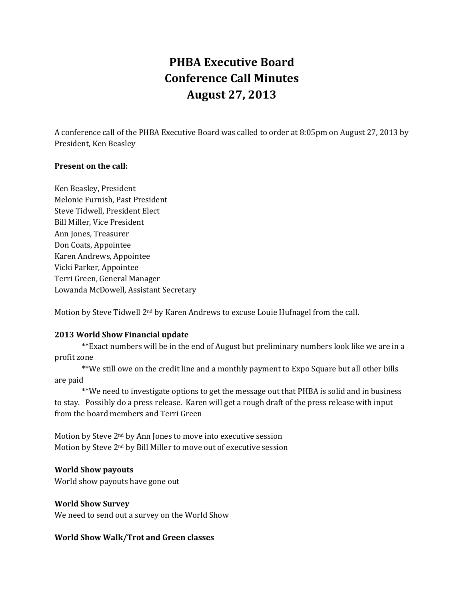# **PHBA Executive Board Conference Call Minutes August 27, 2013**

A conference call of the PHBA Executive Board was called to order at 8:05pm on August 27, 2013 by President, Ken Beasley

#### **Present on the call:**

Ken Beasley, President Melonie Furnish, Past President Steve Tidwell, President Elect Bill Miller, Vice President Ann Jones, Treasurer Don Coats, Appointee Karen Andrews, Appointee Vicki Parker, Appointee Terri Green, General Manager Lowanda McDowell, Assistant Secretary

Motion by Steve Tidwell 2nd by Karen Andrews to excuse Louie Hufnagel from the call.

# **2013 World Show Financial update**

\*\*Exact numbers will be in the end of August but preliminary numbers look like we are in a profit zone

\*\*We still owe on the credit line and a monthly payment to Expo Square but all other bills are paid

\*\*We need to investigate options to get the message out that PHBA is solid and in business to stay. Possibly do a press release. Karen will get a rough draft of the press release with input from the board members and Terri Green

Motion by Steve 2nd by Ann Jones to move into executive session Motion by Steve 2nd by Bill Miller to move out of executive session

#### **World Show payouts**

World show payouts have gone out

# **World Show Survey**

We need to send out a survey on the World Show

# **World Show Walk/Trot and Green classes**